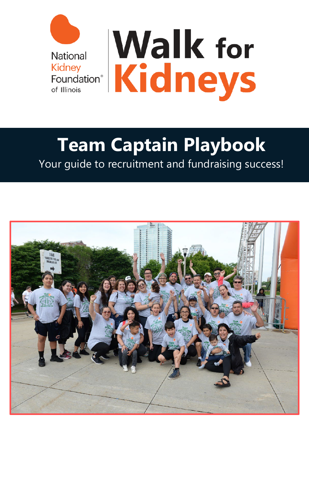

## **Team Captain Playbook**

Your guide to recruitment and fundraising success!

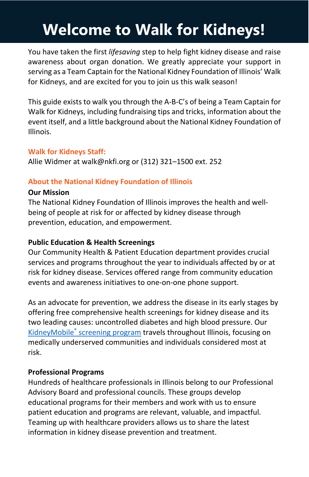### **Welcome to Walk for Kidneys!**

You have taken the first *lifesaving* step to help fight kidney disease and raise awareness about organ donation. We greatly appreciate your support in serving as a Team Captain for the National Kidney Foundation of Illinois' Walk for Kidneys, and are excited for you to join us this walk season!

This guide exists to walk you through the A-B-C's of being a Team Captain for Walk for Kidneys, including fundraising tips and tricks, information about the event itself, and a little background about the National Kidney Foundation of Illinois.

#### **Walk for Kidneys Staff:**

Allie Widmer at walk@nkfi.org or (312) 321–1500 ext. 252

#### **About the National Kidney Foundation of Illinois**

#### **Our Mission**

The National Kidney Foundation of Illinois improves the health and wellbeing of people at risk for or affected by kidney disease through prevention, education, and empowerment.

#### **Public Education & Health Screenings**

Our Community Health & Patient Education department provides crucial services and programs throughout the year to individuals affected by or at risk for kidney disease. Services offered range from community education events and awareness initiatives to one-on-one phone support.

As an advocate for prevention, we address the disease in its early stages by offering free comprehensive health screenings for kidney disease and its two leading causes: uncontrolled diabetes and high blood pressure. Our KidneyMobile® [screening program](http://www.nkfi.org/kidney-mobile/calendar) travels throughout Illinois, focusing on medically underserved communities and individuals considered most at risk.

#### **Professional Programs**

Hundreds of healthcare professionals in Illinois belong to our Professional Advisory Board and professional councils. These groups develop educational programs for their members and work with us to ensure patient education and programs are relevant, valuable, and impactful. Teaming up with healthcare providers allows us to share the latest information in kidney disease prevention and treatment.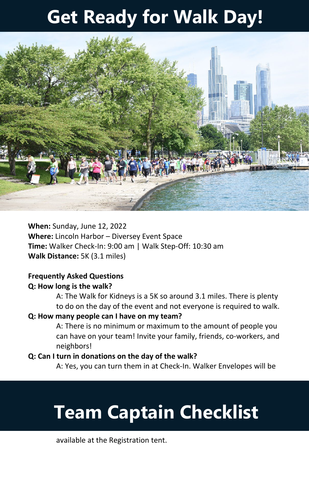## **Get Ready for Walk Day!**



**When:** Sunday, June 12, 2022 **Where:** Lincoln Harbor – Diversey Event Space **Time:** Walker Check-In: 9:00 am | Walk Step-Off: 10:30 am **Walk Distance:** 5K (3.1 miles)

#### **Frequently Asked Questions Q: How long is the walk?**

A: The Walk for Kidneys is a 5K so around 3.1 miles. There is plenty to do on the day of the event and not everyone is required to walk.

#### **Q: How many people can I have on my team?**

A: There is no minimum or maximum to the amount of people you can have on your team! Invite your family, friends, co-workers, and neighbors!

#### **Q: Can I turn in donations on the day of the walk?**

A: Yes, you can turn them in at Check-In. Walker Envelopes will be

## **Team Captain Checklist**

available at the Registration tent.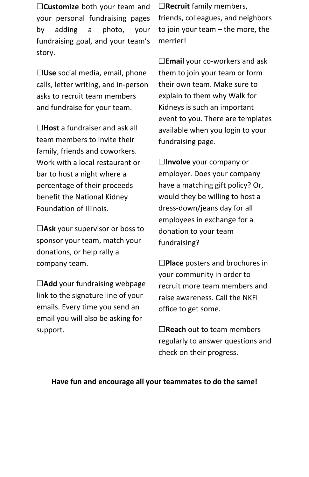☐**Customize** both your team and your personal fundraising pages by adding a photo, your fundraising goal, and your team's story.

☐**Use** social media, email, phone calls, letter writing, and in-person asks to recruit team members and fundraise for your team.

☐**Host** a fundraiser and ask all team members to invite their family, friends and coworkers. Work with a local restaurant or bar to host a night where a percentage of their proceeds benefit the National Kidney Foundation of Illinois.

☐**Ask** your supervisor or boss to sponsor your team, match your donations, or help rally a company team.

☐**Add** your fundraising webpage link to the signature line of your emails. Every time you send an email you will also be asking for support.

☐**Recruit** family members, friends, colleagues, and neighbors to join your team – the more, the merrier!

☐**Email** your co-workers and ask them to join your team or form their own team. Make sure to explain to them why Walk for Kidneys is such an important event to you. There are templates available when you login to your fundraising page.

☐**Involve** your company or employer. Does your company have a matching gift policy? Or, would they be willing to host a dress-down/jeans day for all employees in exchange for a donation to your team fundraising?

☐**Place** posters and brochures in your community in order to recruit more team members and raise awareness. Call the NKFI office to get some.

☐**Reach** out to team members regularly to answer questions and check on their progress.

#### **Have fun and encourage all your teammates to do the same!**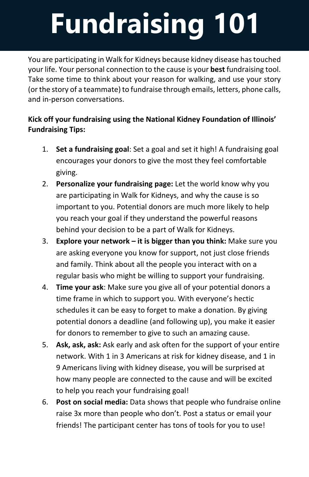# **Fundraising 101**

You are participating in Walk for Kidneys because kidney disease has touched your life. Your personal connection to the cause is your **best** fundraising tool. Take some time to think about your reason for walking, and use your story (or the story of a teammate) to fundraise through emails, letters, phone calls, and in-person conversations.

#### **Kick off your fundraising using the National Kidney Foundation of Illinois' Fundraising Tips:**

- 1. **Set a fundraising goal**: Set a goal and set it high! A fundraising goal encourages your donors to give the most they feel comfortable giving.
- 2. **Personalize your fundraising page:** Let the world know why you are participating in Walk for Kidneys, and why the cause is so important to you. Potential donors are much more likely to help you reach your goal if they understand the powerful reasons behind your decision to be a part of Walk for Kidneys.
- 3. **Explore your network – it is bigger than you think:** Make sure you are asking everyone you know for support, not just close friends and family. Think about all the people you interact with on a regular basis who might be willing to support your fundraising.
- 4. **Time your ask**: Make sure you give all of your potential donors a time frame in which to support you. With everyone's hectic schedules it can be easy to forget to make a donation. By giving potential donors a deadline (and following up), you make it easier for donors to remember to give to such an amazing cause.
- 5. **Ask, ask, ask:** Ask early and ask often for the support of your entire network. With 1 in 3 Americans at risk for kidney disease, and 1 in 9 Americans living with kidney disease, you will be surprised at how many people are connected to the cause and will be excited to help you reach your fundraising goal!
- 6. **Post on social media:** Data shows that people who fundraise online raise 3x more than people who don't. Post a status or email your friends! The participant center has tons of tools for you to use!